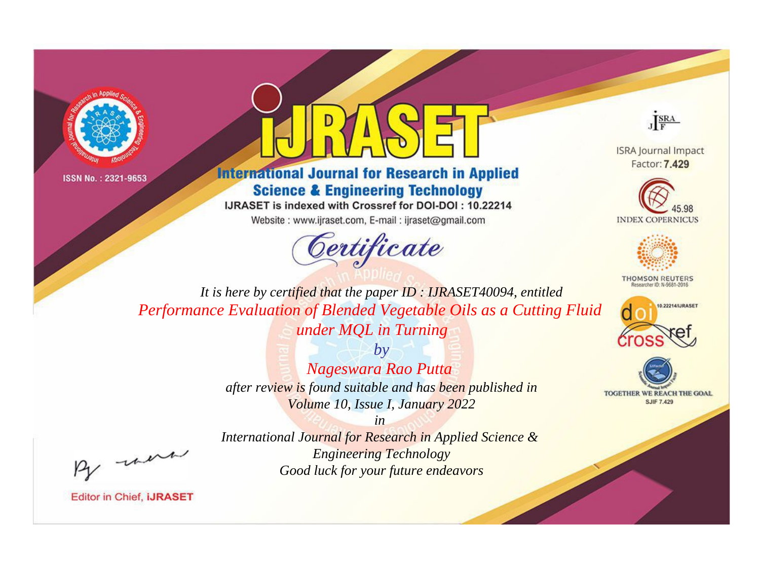



**International Journal for Research in Applied Science & Engineering Technology** 

IJRASET is indexed with Crossref for DOI-DOI: 10.22214

Website: www.ijraset.com, E-mail: ijraset@gmail.com





**ISRA Journal Impact** Factor: 7.429





**THOMSON REUTERS** 



TOGETHER WE REACH THE GOAL **SJIF 7.429** 

*It is here by certified that the paper ID : IJRASET40094, entitled Performance Evaluation of Blended Vegetable Oils as a Cutting Fluid under MQL in Turning*

> *by Nageswara Rao Putta after review is found suitable and has been published in Volume 10, Issue I, January 2022*

, un

*International Journal for Research in Applied Science & Engineering Technology Good luck for your future endeavors*

*in*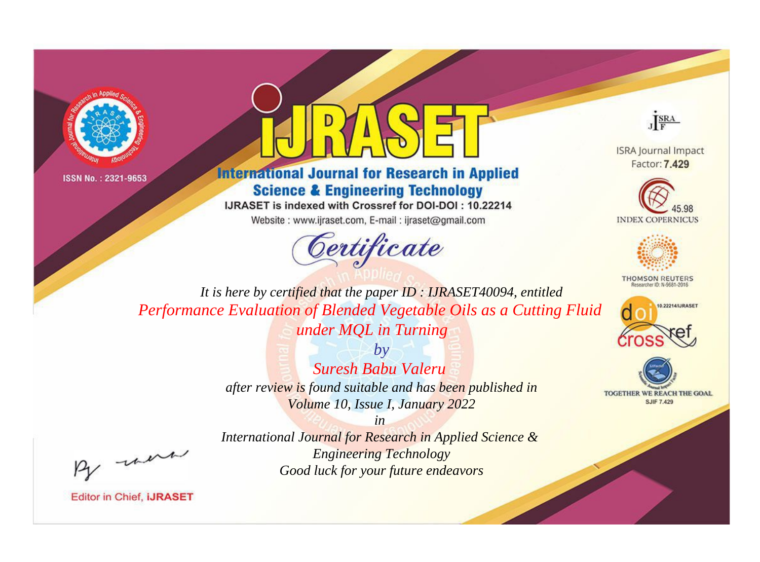



**International Journal for Research in Applied Science & Engineering Technology** 

IJRASET is indexed with Crossref for DOI-DOI: 10.22214

Website: www.ijraset.com, E-mail: ijraset@gmail.com





**ISRA Journal Impact** Factor: 7.429





**THOMSON REUTERS** 



TOGETHER WE REACH THE GOAL **SJIF 7.429** 

*It is here by certified that the paper ID : IJRASET40094, entitled Performance Evaluation of Blended Vegetable Oils as a Cutting Fluid under MQL in Turning*

> *by Suresh Babu Valeru after review is found suitable and has been published in Volume 10, Issue I, January 2022*

, were

*International Journal for Research in Applied Science & Engineering Technology Good luck for your future endeavors*

*in*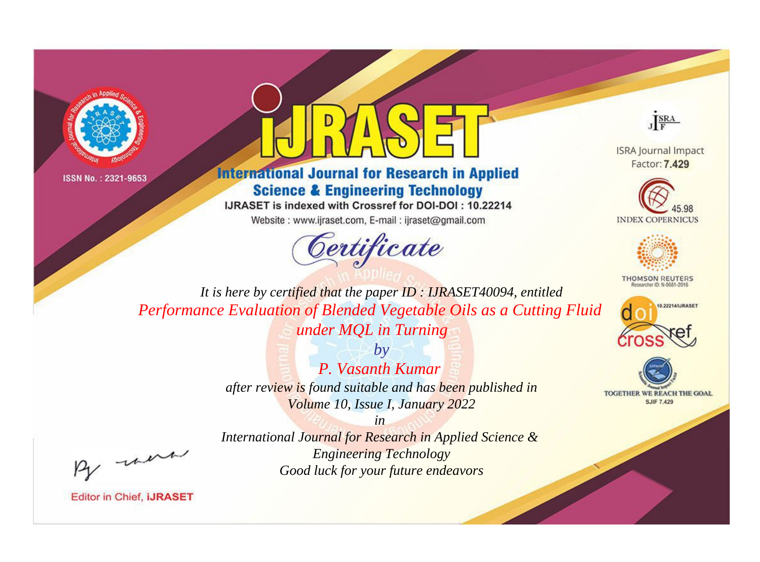



**International Journal for Research in Applied Science & Engineering Technology** 

IJRASET is indexed with Crossref for DOI-DOI: 10.22214

Website: www.ijraset.com, E-mail: ijraset@gmail.com





**ISRA Journal Impact** Factor: 7.429





**THOMSON REUTERS** 



TOGETHER WE REACH THE GOAL **SJIF 7.429** 

*It is here by certified that the paper ID : IJRASET40094, entitled Performance Evaluation of Blended Vegetable Oils as a Cutting Fluid under MQL in Turning*

> *by P. Vasanth Kumar after review is found suitable and has been published in Volume 10, Issue I, January 2022*

, un

*International Journal for Research in Applied Science & Engineering Technology Good luck for your future endeavors*

*in*